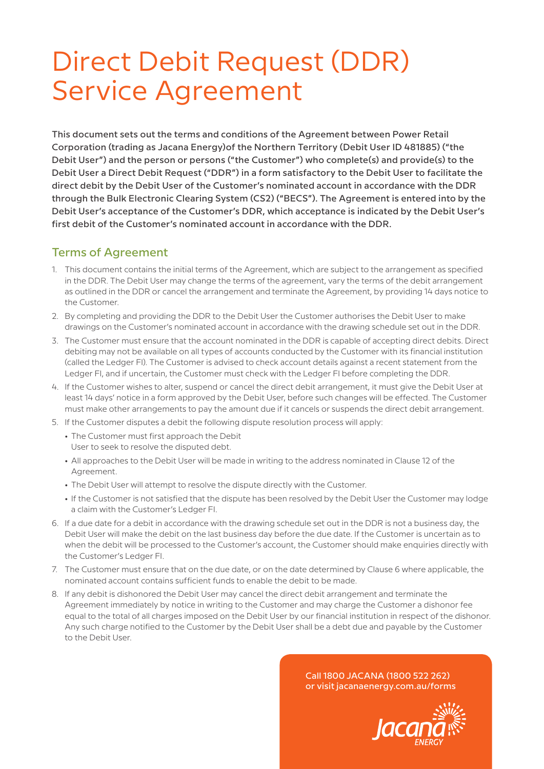## Direct Debit Request (DDR) Service Agreement

This document sets out the terms and conditions of the Agreement between Power Retail Corporation (trading as Jacana Energy)of the Northern Territory (Debit User ID 481885) ("the Debit User") and the person or persons ("the Customer") who complete(s) and provide(s) to the Debit User a Direct Debit Request ("DDR") in a form satisfactory to the Debit User to facilitate the direct debit by the Debit User of the Customer's nominated account in accordance with the DDR through the Bulk Electronic Clearing System (CS2) ("BECS"). The Agreement is entered into by the Debit User's acceptance of the Customer's DDR, which acceptance is indicated by the Debit User's first debit of the Customer's nominated account in accordance with the DDR.

## Terms of Agreement

- 1. This document contains the initial terms of the Agreement, which are subject to the arrangement as specified in the DDR. The Debit User may change the terms of the agreement, vary the terms of the debit arrangement as outlined in the DDR or cancel the arrangement and terminate the Agreement, by providing 14 days notice to the Customer.
- 2. By completing and providing the DDR to the Debit User the Customer authorises the Debit User to make drawings on the Customer's nominated account in accordance with the drawing schedule set out in the DDR.
- 3. The Customer must ensure that the account nominated in the DDR is capable of accepting direct debits. Direct debiting may not be available on all types of accounts conducted by the Customer with its financial institution (called the Ledger FI). The Customer is advised to check account details against a recent statement from the Ledger FI, and if uncertain, the Customer must check with the Ledger FI before completing the DDR.
- 4. If the Customer wishes to alter, suspend or cancel the direct debit arrangement, it must give the Debit User at least 14 days' notice in a form approved by the Debit User, before such changes will be effected. The Customer must make other arrangements to pay the amount due if it cancels or suspends the direct debit arrangement.
- 5. If the Customer disputes a debit the following dispute resolution process will apply:
	- The Customer must first approach the Debit
	- User to seek to resolve the disputed debt.
	- All approaches to the Debit User will be made in writing to the address nominated in Clause 12 of the Agreement.
	- The Debit User will attempt to resolve the dispute directly with the Customer.
	- If the Customer is not satisfied that the dispute has been resolved by the Debit User the Customer may lodge a claim with the Customer's Ledger FI.
- 6. If a due date for a debit in accordance with the drawing schedule set out in the DDR is not a business day, the Debit User will make the debit on the last business day before the due date. If the Customer is uncertain as to when the debit will be processed to the Customer's account, the Customer should make enquiries directly with the Customer's Ledger FI.
- 7. The Customer must ensure that on the due date, or on the date determined by Clause 6 where applicable, the nominated account contains sufficient funds to enable the debit to be made.
- 8. If any debit is dishonored the Debit User may cancel the direct debit arrangement and terminate the Agreement immediately by notice in writing to the Customer and may charge the Customer a dishonor fee equal to the total of all charges imposed on the Debit User by our financial institution in respect of the dishonor. Any such charge notified to the Customer by the Debit User shall be a debt due and payable by the Customer to the Debit User.

Call 1800 JACANA (1800 522 262) or visit jacanaenergy.com.au/forms